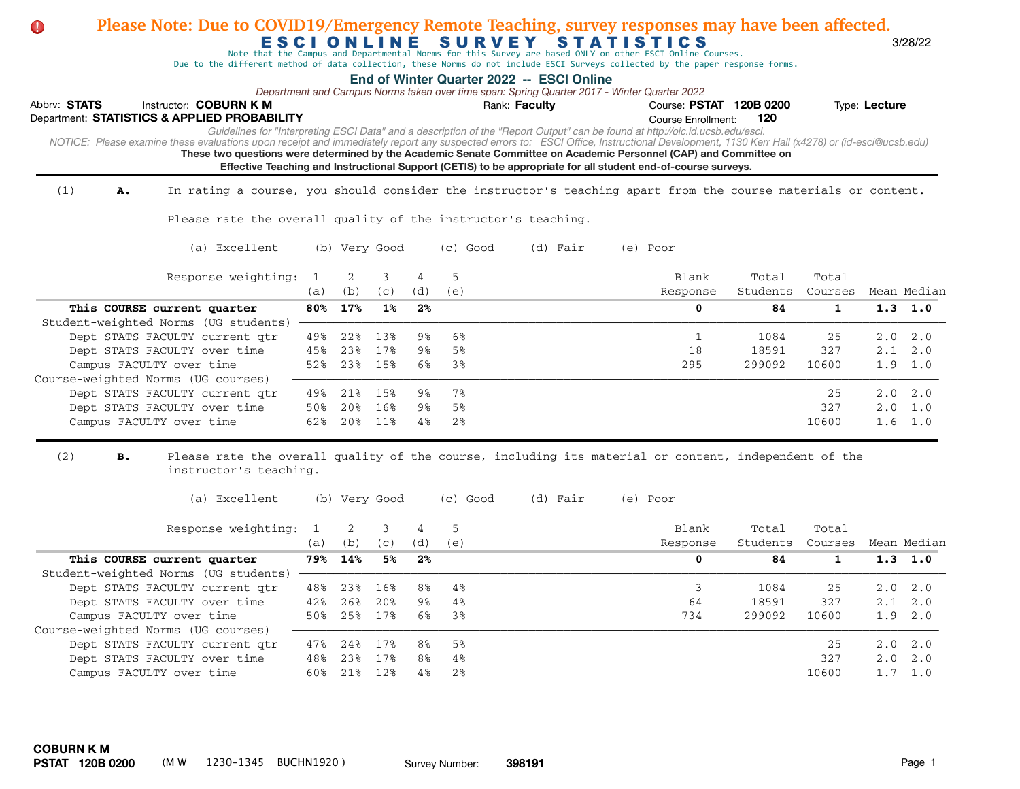| Please Note: Due to COVID19/Emergency Remote Teaching, survey responses may have been affected.<br>O.                                                                                      |     |     |               |                |                |                                                                                                                                                 |          |                           |          |              |               |                 |
|--------------------------------------------------------------------------------------------------------------------------------------------------------------------------------------------|-----|-----|---------------|----------------|----------------|-------------------------------------------------------------------------------------------------------------------------------------------------|----------|---------------------------|----------|--------------|---------------|-----------------|
|                                                                                                                                                                                            |     |     |               |                |                | <b>ESCIONLINE SURVEY STATISTICS</b><br>Note that the Campus and Departmental Norms for this Survey are based ONLY on other ESCI Online Courses. |          |                           |          |              |               | 3/28/22         |
| Due to the different method of data collection, these Norms do not include ESCI Surveys collected by the paper response forms.                                                             |     |     |               |                |                | End of Winter Quarter 2022 -- ESCI Online                                                                                                       |          |                           |          |              |               |                 |
|                                                                                                                                                                                            |     |     |               |                |                | Department and Campus Norms taken over time span: Spring Quarter 2017 - Winter Quarter 2022                                                     |          |                           |          |              |               |                 |
| Abbrv: STATS<br>Instructor: COBURN K M                                                                                                                                                     |     |     |               |                |                | Rank: Faculty                                                                                                                                   |          | Course: PSTAT 120B 0200   |          |              | Type: Lecture |                 |
| Department: STATISTICS & APPLIED PROBABILITY                                                                                                                                               |     |     |               |                |                | Guidelines for "Interpreting ESCI Data" and a description of the "Report Output" can be found at http://oic.id.ucsb.edu/esci.                   |          | <b>Course Enrollment:</b> | 120      |              |               |                 |
| NOTICE: Please examine these evaluations upon receipt and immediately report any suspected errors to: ESCI Office, Instructional Development, 1130 Kerr Hall (x4278) or (id-esci@ucsb.edu) |     |     |               |                |                |                                                                                                                                                 |          |                           |          |              |               |                 |
| These two questions were determined by the Academic Senate Committee on Academic Personnel (CAP) and Committee on                                                                          |     |     |               |                |                | Effective Teaching and Instructional Support (CETIS) to be appropriate for all student end-of-course surveys.                                   |          |                           |          |              |               |                 |
|                                                                                                                                                                                            |     |     |               |                |                |                                                                                                                                                 |          |                           |          |              |               |                 |
| (1)<br>In rating a course, you should consider the instructor's teaching apart from the course materials or content.<br>Α.                                                                 |     |     |               |                |                |                                                                                                                                                 |          |                           |          |              |               |                 |
| Please rate the overall quality of the instructor's teaching.                                                                                                                              |     |     |               |                |                |                                                                                                                                                 |          |                           |          |              |               |                 |
| (a) Excellent                                                                                                                                                                              |     |     | (b) Very Good |                | (c) Good       | (d) Fair                                                                                                                                        | (e) Poor |                           |          |              |               |                 |
| Response weighting:                                                                                                                                                                        | 1   | 2   | 3             | $\overline{4}$ | 5              |                                                                                                                                                 |          | Blank                     | Total    | Total        |               |                 |
|                                                                                                                                                                                            | (a) | (b) | (c)           | (d)            | (e)            |                                                                                                                                                 |          | Response                  | Students | Courses      |               | Mean Median     |
| This COURSE current quarter                                                                                                                                                                | 80% | 17% | $1\%$         | $2\%$          |                |                                                                                                                                                 |          | 0                         | 84       | 1            |               | $1.3$ 1.0       |
| Student-weighted Norms (UG students)                                                                                                                                                       |     |     |               |                |                |                                                                                                                                                 |          |                           |          |              |               |                 |
| Dept STATS FACULTY current qtr                                                                                                                                                             | 49% | 22% | 13%           | 9%             | 6%             |                                                                                                                                                 |          | 1                         | 1084     | 25           | 2.0           | 2.0             |
| Dept STATS FACULTY over time                                                                                                                                                               | 45% | 23% | 17%           | 98             | 5%             |                                                                                                                                                 |          | 18                        | 18591    | 327          | 2.1           | 2.0             |
| Campus FACULTY over time                                                                                                                                                                   | 52% | 23% | 15%           | 6%             | 3%             |                                                                                                                                                 |          | 295                       | 299092   | 10600        | 1.9           | 1.0             |
| Course-weighted Norms (UG courses)                                                                                                                                                         |     |     |               |                |                |                                                                                                                                                 |          |                           |          |              |               |                 |
| Dept STATS FACULTY current qtr                                                                                                                                                             | 49% | 21% | 15%           | 9%             | 7%             |                                                                                                                                                 |          |                           |          | 25           | $2 \, . \, 0$ | 2.0             |
| Dept STATS FACULTY over time                                                                                                                                                               | 50% | 20% | 16%           | 9%             | 5%             |                                                                                                                                                 |          |                           |          | 327          | 2.0           | 1.0             |
| Campus FACULTY over time                                                                                                                                                                   | 62% | 20% | 11%           | 4%             | 2%             |                                                                                                                                                 |          |                           |          | 10600        |               | $1.6 \quad 1.0$ |
| (2)<br>в.<br>Please rate the overall quality of the course, including its material or content, independent of the<br>instructor's teaching.                                                |     |     |               |                |                |                                                                                                                                                 |          |                           |          |              |               |                 |
| (a) Excellent                                                                                                                                                                              |     |     | (b) Very Good |                | (c) Good       | (d) Fair                                                                                                                                        | (e) Poor |                           |          |              |               |                 |
| Response weighting:                                                                                                                                                                        | 1   | 2   | 3             | $\overline{4}$ | 5              |                                                                                                                                                 |          | Blank                     | Total    | Total        |               |                 |
|                                                                                                                                                                                            | (a) | (b) | (c)           | (d)            | (e)            |                                                                                                                                                 |          | Response                  | Students | Courses      |               | Mean Median     |
| This COURSE current quarter                                                                                                                                                                | 79% | 14% | 5%            | 2%             |                |                                                                                                                                                 |          | 0                         | 84       | $\mathbf{1}$ |               | $1.3$ 1.0       |
| Student-weighted Norms (UG students)                                                                                                                                                       |     |     |               |                |                |                                                                                                                                                 |          |                           |          |              |               |                 |
| Dept STATS FACULTY current qtr                                                                                                                                                             | 48% | 23% | 16%           | 8%             | 4%             |                                                                                                                                                 |          | 3                         | 1084     | 25           | 2.0           | 2.0             |
| Dept STATS FACULTY over time                                                                                                                                                               | 42% | 26% | 20%           | 9%             | 4%             |                                                                                                                                                 |          | 64                        | 18591    | 327          | 2.1           | 2.0             |
| Campus FACULTY over time                                                                                                                                                                   | 50% | 25% | 17%           | 6%             | 3%             |                                                                                                                                                 |          | 734                       | 299092   | 10600        | 1.9           | 2.0             |
| Course-weighted Norms (UG courses)                                                                                                                                                         |     |     |               |                |                |                                                                                                                                                 |          |                           |          |              |               |                 |
| Dept STATS FACULTY current qtr                                                                                                                                                             | 47% | 24% | 17%           | 8%             | 5%             |                                                                                                                                                 |          |                           |          | 25           | $2 \, . \, 0$ | 2.0             |
| Dept STATS FACULTY over time                                                                                                                                                               | 48% | 23% | 17%           | 8%             | $4\%$          |                                                                                                                                                 |          |                           |          | 327          | 2.0           | 2.0             |
| Campus FACULTY over time                                                                                                                                                                   | 60% | 21% | 12%           | 4%             | 2 <sup>8</sup> |                                                                                                                                                 |          |                           |          | 10600        |               | $1.7 \quad 1.0$ |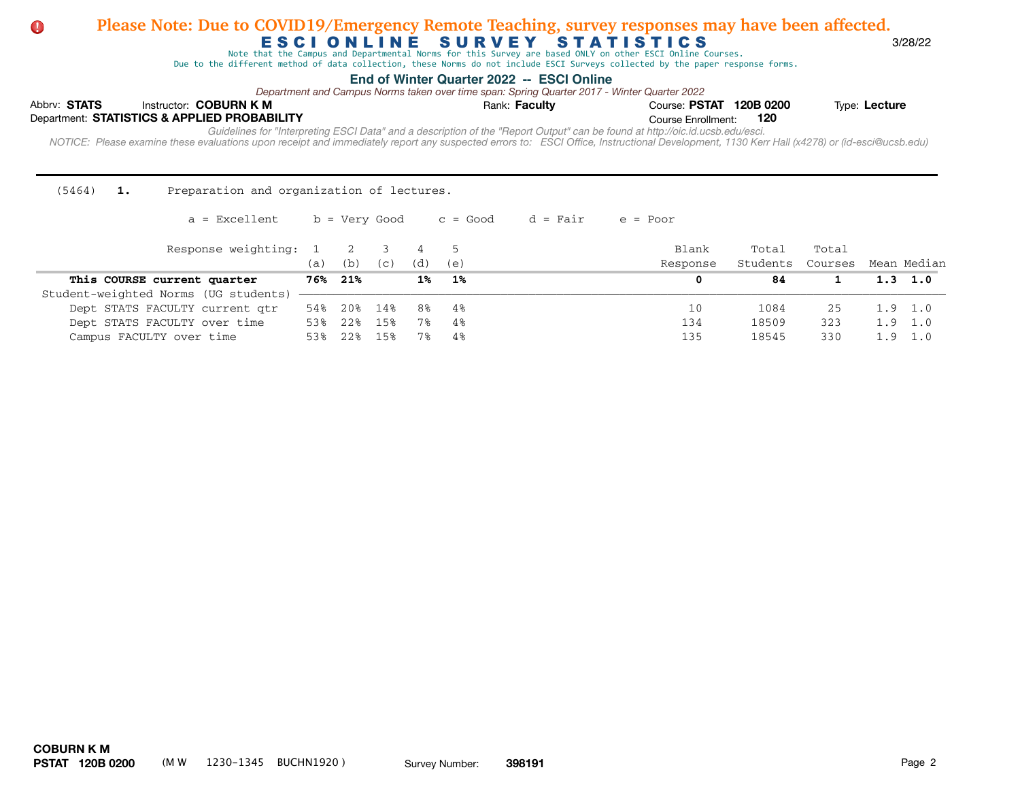Note that the Campus and Departmental Norms for this Survey are based ONLY on other ESCI Online Courses.

Due to the different method of data collection, these Norms do not include ESCI Surveys collected by the paper response forms.

## **End of Winter Quarter 2022 -- ESCI Online**

*Department and Campus Norms taken over time span: Spring Quarter 2017 - Winter Quarter 2022*

| Abbrv: STATS | Instructor: COBURN K M                       | Rank: <b>Faculty</b> | Course: PSTAT 120B 0200                                                                                                                                                                    |     | Type: Lecture |
|--------------|----------------------------------------------|----------------------|--------------------------------------------------------------------------------------------------------------------------------------------------------------------------------------------|-----|---------------|
|              | Department: STATISTICS & APPLIED PROBABILITY |                      | Course Enrollment:                                                                                                                                                                         | 120 |               |
|              |                                              |                      | Guidelines for "Interpreting ESCI Data" and a description of the "Report Output" can be found at http://oic.id.ucsb.edu/esci.                                                              |     |               |
|              |                                              |                      | NOTICE: Please examine these evaluations upon receipt and immediately report any suspected errors to: ESCI Office, Instructional Development, 1130 Kerr Hall (x4278) or (id-esci@ucsb.edu) |     |               |

(5464) **1.** Preparation and organization of lectures.

| Response weighting: 1 2              | (a) | (b) | (C) | (d)   | (e) | Blank<br>Response | Total<br>Students | Total<br>Courses | Mean Median     |
|--------------------------------------|-----|-----|-----|-------|-----|-------------------|-------------------|------------------|-----------------|
| This COURSE current quarter          | 76% | 21% |     | $1\%$ | 1%  | 0                 | 84                |                  | $1.3 \quad 1.0$ |
| Student-weighted Norms (UG students) |     |     |     |       |     |                   |                   |                  |                 |
| Dept STATS FACULTY current qtr       | 54% | 20% | 14% | 8%    | -48 | 10                | 1084              | 25               | $1.9 \quad 1.0$ |
| Dept STATS FACULTY over time         | 53% | 22% | 15% | 7%    | 4%  | 134               | 18509             | 323              | $1.9 \quad 1.0$ |
| Campus FACULTY over time             |     | 22  | 15% | 7%    | 4%  | 135               | 18545             | 330              | $1.9 \quad 1.0$ |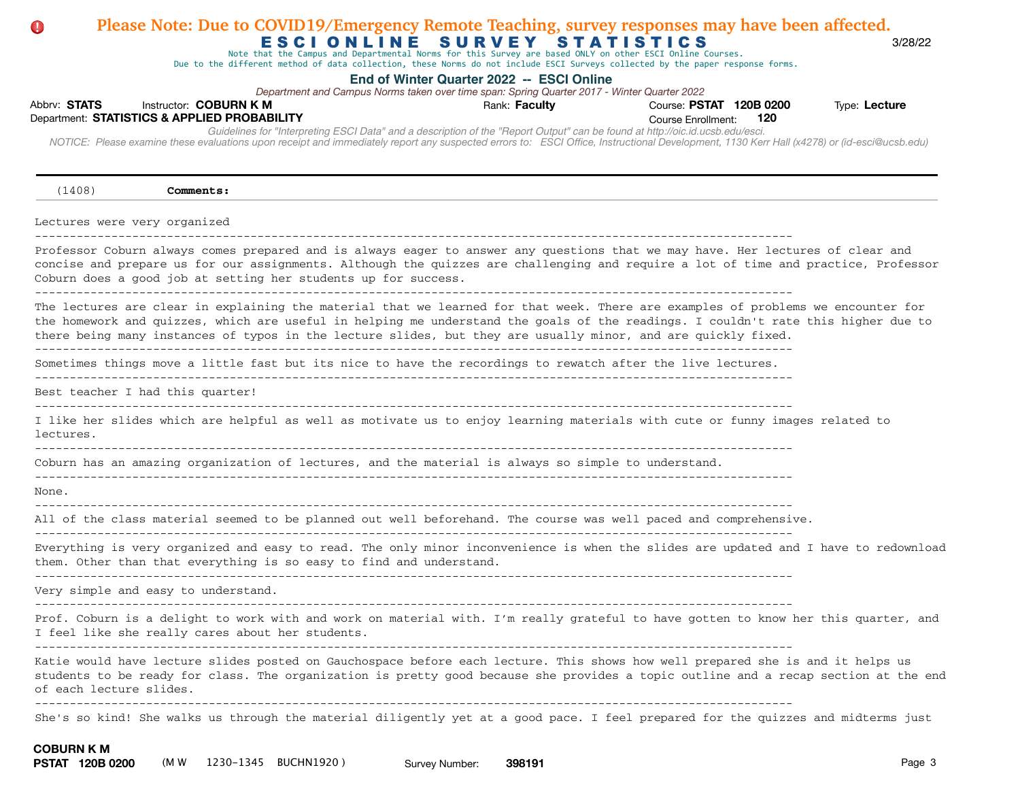| Please Note: Due to COVID19/Emergency Remote Teaching, survey responses may have been affected.<br>$\mathbf 0$<br><b>ESCIONLINE</b>                                                                                                                                                                                                                                                    | <b>STATISTICS</b><br>SURVEY<br>Note that the Campus and Departmental Norms for this Survey are based ONLY on other ESCI Online Courses.<br>Due to the different method of data collection, these Norms do not include ESCI Surveys collected by the paper response forms.<br>End of Winter Quarter 2022 -- ESCI Online |                           | 3/28/22       |
|----------------------------------------------------------------------------------------------------------------------------------------------------------------------------------------------------------------------------------------------------------------------------------------------------------------------------------------------------------------------------------------|------------------------------------------------------------------------------------------------------------------------------------------------------------------------------------------------------------------------------------------------------------------------------------------------------------------------|---------------------------|---------------|
|                                                                                                                                                                                                                                                                                                                                                                                        | Department and Campus Norms taken over time span: Spring Quarter 2017 - Winter Quarter 2022                                                                                                                                                                                                                            |                           |               |
| Abbrv: STATS<br>Instructor: <b>COBURN K M</b>                                                                                                                                                                                                                                                                                                                                          | Rank: Faculty                                                                                                                                                                                                                                                                                                          | Course: PSTAT 120B 0200   | Type: Lecture |
| Department: STATISTICS & APPLIED PROBABILITY                                                                                                                                                                                                                                                                                                                                           |                                                                                                                                                                                                                                                                                                                        | 120<br>Course Enrollment: |               |
| NOTICE: Please examine these evaluations upon receipt and immediately report any suspected errors to: ESCI Office, Instructional Development, 1130 Kerr Hall (x4278) or (id-esci@ucsb.edu)                                                                                                                                                                                             | Guidelines for "Interpreting ESCI Data" and a description of the "Report Output" can be found at http://oic.id.ucsb.edu/esci.                                                                                                                                                                                          |                           |               |
| (1408)<br>Comments:                                                                                                                                                                                                                                                                                                                                                                    |                                                                                                                                                                                                                                                                                                                        |                           |               |
| Lectures were very organized                                                                                                                                                                                                                                                                                                                                                           |                                                                                                                                                                                                                                                                                                                        |                           |               |
| Professor Coburn always comes prepared and is always eager to answer any questions that we may have. Her lectures of clear and<br>concise and prepare us for our assignments. Although the quizzes are challenging and require a lot of time and practice, Professor<br>Coburn does a good job at setting her students up for success.                                                 |                                                                                                                                                                                                                                                                                                                        |                           |               |
| The lectures are clear in explaining the material that we learned for that week. There are examples of problems we encounter for<br>the homework and quizzes, which are useful in helping me understand the goals of the readings. I couldn't rate this higher due to<br>there being many instances of typos in the lecture slides, but they are usually minor, and are quickly fixed. |                                                                                                                                                                                                                                                                                                                        |                           |               |
| Sometimes things move a little fast but its nice to have the recordings to rewatch after the live lectures.                                                                                                                                                                                                                                                                            |                                                                                                                                                                                                                                                                                                                        |                           |               |
| Best teacher I had this quarter!                                                                                                                                                                                                                                                                                                                                                       |                                                                                                                                                                                                                                                                                                                        |                           |               |
| I like her slides which are helpful as well as motivate us to enjoy learning materials with cute or funny images related to<br>lectures.                                                                                                                                                                                                                                               |                                                                                                                                                                                                                                                                                                                        |                           |               |
| Coburn has an amazing organization of lectures, and the material is always so simple to understand.                                                                                                                                                                                                                                                                                    |                                                                                                                                                                                                                                                                                                                        |                           |               |
| None.                                                                                                                                                                                                                                                                                                                                                                                  |                                                                                                                                                                                                                                                                                                                        |                           |               |
| All of the class material seemed to be planned out well beforehand. The course was well paced and comprehensive.                                                                                                                                                                                                                                                                       |                                                                                                                                                                                                                                                                                                                        |                           |               |
| Everything is very organized and easy to read. The only minor inconvenience is when the slides are updated and I have to redownload<br>them. Other than that everything is so easy to find and understand.                                                                                                                                                                             |                                                                                                                                                                                                                                                                                                                        |                           |               |
| Very simple and easy to understand.                                                                                                                                                                                                                                                                                                                                                    |                                                                                                                                                                                                                                                                                                                        |                           |               |
| Prof. Coburn is a delight to work with and work on material with. I'm really grateful to have gotten to know her this quarter, and<br>I feel like she really cares about her students.                                                                                                                                                                                                 |                                                                                                                                                                                                                                                                                                                        |                           |               |
| Katie would have lecture slides posted on Gauchospace before each lecture. This shows how well prepared she is and it helps us<br>students to be ready for class. The organization is pretty good because she provides a topic outline and a recap section at the end<br>of each lecture slides.                                                                                       |                                                                                                                                                                                                                                                                                                                        |                           |               |
| She's so kind! She walks us through the material diligently yet at a good pace. I feel prepared for the quizzes and midterms just                                                                                                                                                                                                                                                      |                                                                                                                                                                                                                                                                                                                        |                           |               |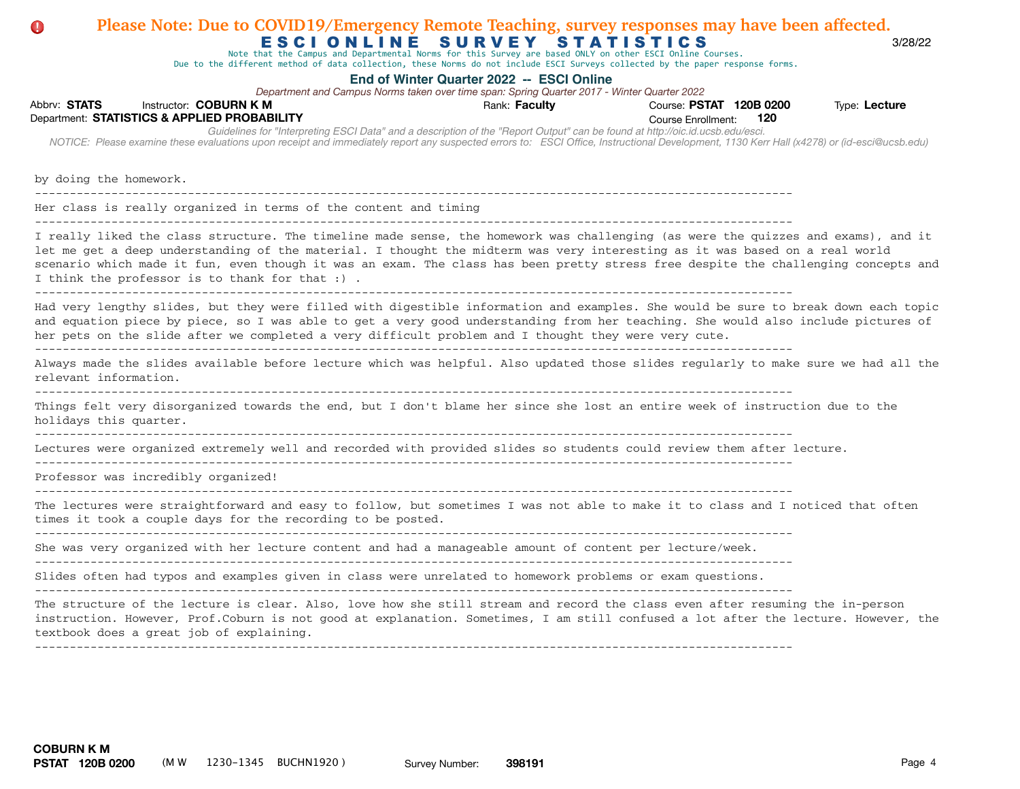## Abbrv: STATS Instructor: COBURN K M **COUR EXECUTS** Rank: Faculty **Providence: PSTAT 120B 0200** Type: Lecture Course Enrollment: cululellines for interpreting ESCT Data and a description of the report Culput can be found at http://oic.id.ucsb.edu/esci.<br>NOTICE: Please examine these evaluations upon receipt and immediately report any suspected errors ADDIV: STATS Instructor: COBURN K M<br>Department: STATISTICS & APPLIED PROBABILITY **120 120 120 120 120 120 120 120 120 120 120 120 120 120 120 120 120 120 120 120 120 120** E S C I O N L I N E S U R V E Y S T A T I S T I C S 3/28/22 **End of Winter Quarter 2022 -- ESCI Online** Course Enrollment: STATISTICS & APPLIED PROBABILITY<br>Guidelines for "Interpreting ESCI Data" and a description of the "Report Output" can be found at http://oic.id.ucsb.edu/esci. Department and Campus Norms taken over time span: Spring Quarter 2017 - Winter Quarter 2022 Note that the Campus and Departmental Norms for this Survey are based ONLY on other ESCI Online Courses. Due to the different method of data collection, these Norms do not include ESCI Surveys collected by the paper response forms. **Please Note: Due to COVID19/Emergency Remote Teaching, survey responses may have been affected.** Very simple and easy to understand. I feel like she really cares about her students. I feel like she ------------------------------------------------------------------------------------------------------------ by doing the homework. ------------------------------------------------------------------------------------------------------------- Her class is really organized in terms of the content and timing ------------------------------------------------------------------------------------------------------------- I really liked the class structure. The timeline made sense, the homework was challenging (as were the quizzes and exams), and it let me get a deep understanding of the material. I thought the midterm was very interesting as it was based on a real world scenario which made it fun, even though it was an exam. The class has been pretty stress free despite the challenging concepts and I think the professor is to thank for that :) . ------------------------------------------------------------------------------------------------------------- Had very lengthy slides, but they were filled with digestible information and examples. She would be sure to break down each topic and equation piece by piece, so I was able to get a very good understanding from her teaching. She would also include pictures of her pets on the slide after we completed a very difficult problem and I thought they were very cute. ------------------------------------------------------------------------------------------------------------- Always made the slides available before lecture which was helpful. Also updated those slides regularly to make sure we had all the relevant information. Things felt very disorganized towards the end, but I don't blame her since she lost an entire week of instruction due to the holidays this quarter. ------------------------------------------------------------------------------------------------------------- Lectures were organized extremely well and recorded with provided slides so students could review them after lecture. ------------------------------------------------------------------------------------------------------------- Professor was incredibly organized! ------------------------------------------------------------------------------------------------------------- The lectures were straightforward and easy to follow, but sometimes I was not able to make it to class and I noticed that often times it took a couple days for the recording to be posted. ------------------------------------------------------------------------------------------------------------- She was very organized with her lecture content and had a manageable amount of content per lecture/week. ------------------------------------------------------------------------------------------------------------- Slides often had typos and examples given in class were unrelated to homework problems or exam questions. ------------------------------------------------------------------------------------------------------------- The structure of the lecture is clear. Also, love how she still stream and record the class even after resuming the in-person instruction. However, Prof.Coburn is not good at explanation. Sometimes, I am still confused a lot after the lecture. However, the textbook does a great job of explaining.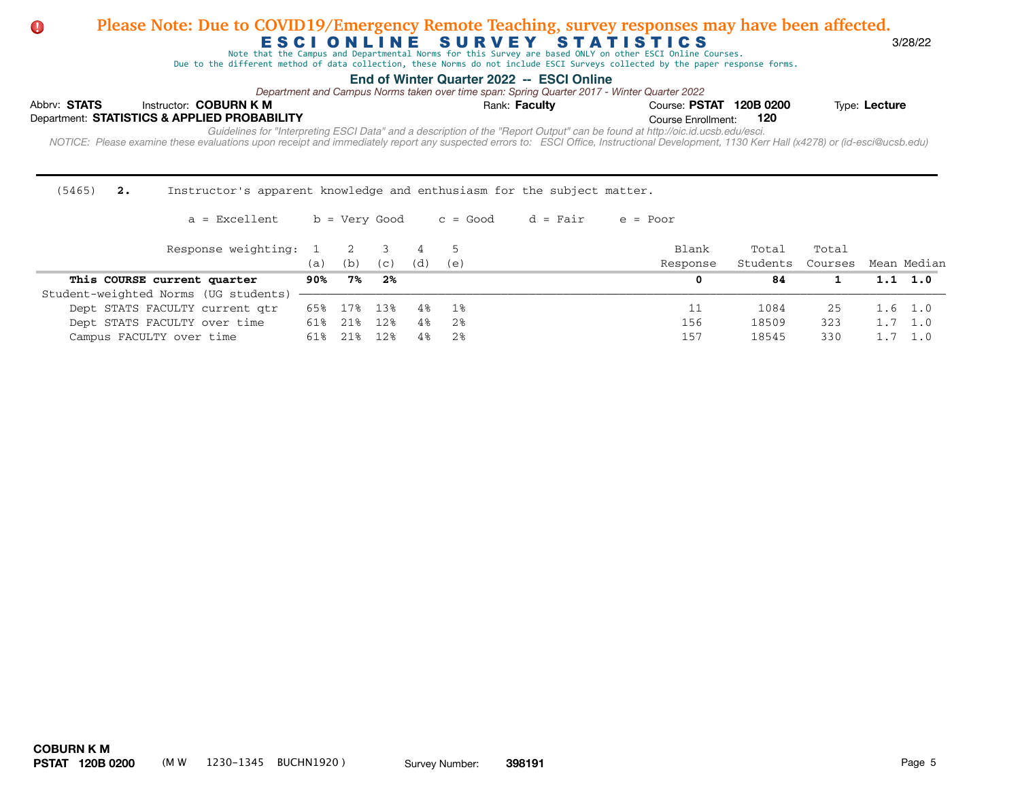Note that the Campus and Departmental Norms for this Survey are based ONLY on other ESCI Online Courses.

Due to the different method of data collection, these Norms do not include ESCI Surveys collected by the paper response forms.

## **End of Winter Quarter 2022 -- ESCI Online**

| Abbrv: STATS | Instructor: COBURN K M                       | Rank: <b>Faculty</b>                                                                                                                                                                       | Course: PSTAT 120B 0200 |       | Type: Lecture |
|--------------|----------------------------------------------|--------------------------------------------------------------------------------------------------------------------------------------------------------------------------------------------|-------------------------|-------|---------------|
|              | Department: STATISTICS & APPLIED PROBABILITY |                                                                                                                                                                                            | Course Enrollment:      | - 120 |               |
|              |                                              | Guidelines for "Interpreting ESCI Data" and a description of the "Report Output" can be found at http://oic.id.ucsb.edu/esci.                                                              |                         |       |               |
|              |                                              | NOTICE: Please examine these evaluations upon receipt and immediately report any suspected errors to: ESCI Office, Instructional Development, 1130 Kerr Hall (x4278) or (id-esci@ucsb.edu) |                         |       |               |

| (5465)<br>2.                         | Instructor's apparent knowledge and enthusiasm for the subject matter. |     |     |     |     |                                     |          |                              |       |                 |  |
|--------------------------------------|------------------------------------------------------------------------|-----|-----|-----|-----|-------------------------------------|----------|------------------------------|-------|-----------------|--|
| a = Excellent                        |                                                                        |     |     |     |     | $b = Verv$ Good $c = Good$ d = Fair | e = Poor |                              |       |                 |  |
| Response weighting: 1 2 3 4 5        |                                                                        |     |     |     |     |                                     | Blank    | Total                        | Total |                 |  |
|                                      | (a)                                                                    | (b) | (C) | (d) | (e) |                                     | Response | Students Courses Mean Median |       |                 |  |
| This COURSE current quarter          | 90%                                                                    | 7%  | 2%  |     |     |                                     | 0        | 84                           |       | $1.1 \quad 1.0$ |  |
| Student-weighted Norms (UG students) |                                                                        |     |     |     |     |                                     |          |                              |       |                 |  |

| This COURSE current quarter                             | ש ש | $\sim$      | - 43              |    |     | 84    |     |               |
|---------------------------------------------------------|-----|-------------|-------------------|----|-----|-------|-----|---------------|
| Student-weighted Norms (UG students) ------------------ |     |             |                   |    |     |       |     |               |
| Dept STATS FACULTY current gtr                          |     |             | 65% 17% 13% 4% 1% |    |     | 1084  | 25  | $\pm 0.6$ 1.0 |
| Dept STATS FACULTY over time                            |     | 61% 21% 12% |                   | 4% | 156 | 18509 | 323 | 7 1 0         |
| Campus FACULTY over time                                |     | 21%         | 12%               | 4% | 157 | 18545 | 330 |               |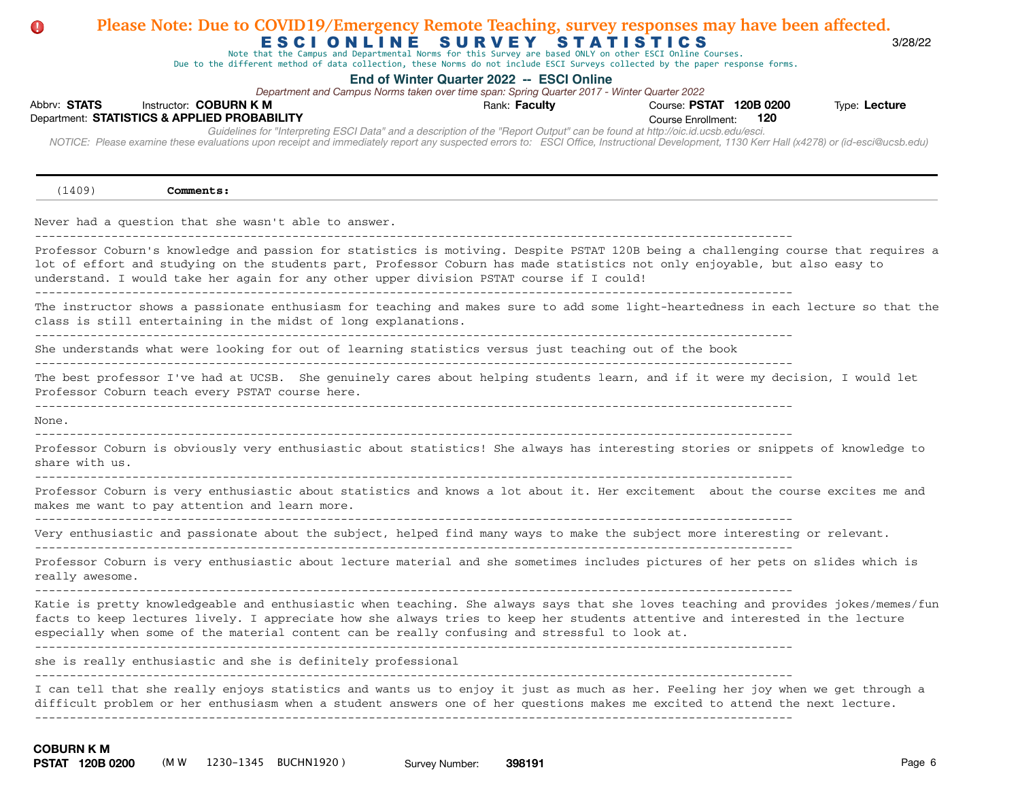# Abbrv: STATS Instructor: COBURN K M **COUR EXECUTS** Rank: Faculty **Providence: PSTAT 120B 0200** Type: Lecture Course Enrollment:  *NOTICE: Please examine these evaluations upon receipt and immediately report any suspected errors to: ESCI Office, Instructional Development, 1130 Kerr Hall (x4278) or (id-esci@ucsb.edu)*  Department: **STATISTICS & APPLIED PROBABILITY 120** E S C I O N L I N E S U R V E Y S T A T I S T I C S 3/28/22 **End of Winter Quarter 2022 -- ESCI Online** *Guidelines for "Interpreting ESCI Data" and a description of the "Report Output" can be found at http://oic.id.ucsb.edu/esci. Department and Campus Norms taken over time span: Spring Quarter 2017 - Winter Quarter 2022* Note that the Campus and Departmental Norms for this Survey are based ONLY on other ESCI Online Courses. Due to the different method of data collection, these Norms do not include ESCI Surveys collected by the paper response forms. **Please Note: Due to COVID19/Emergency Remote Teaching, survey responses may have been affected.** (1409) **Comments:** Never had a question that she wasn't able to answer. ------------------------------------------------------------------------------------------------------------- Professor Coburn's knowledge and passion for statistics is motiving. Despite PSTAT 120B being a challenging course that requires a lot of effort and studying on the students part, Professor Coburn has made statistics not only enjoyable, but also easy to understand. I would take her again for any other upper division PSTAT course if I could! ------------------------------------------------------------------------------------------------------------- The instructor shows a passionate enthusiasm for teaching and makes sure to add some light-heartedness in each lecture so that the class is still entertaining in the midst of long explanations. ------------------------------------------------------------------------------------------------------------- She understands what were looking for out of learning statistics versus just teaching out of the book ------------------------------------------------------------------------------------------------------------- The best professor I've had at UCSB. She genuinely cares about helping students learn, and if it were my decision, I would let Professor Coburn teach every PSTAT course here. ------------------------------------------------------------------------------------------------------------- None.  $-$ Professor Coburn is obviously very enthusiastic about statistics! She always has interesting stories or snippets of knowledge to share with us.  $-$ Professor Coburn is very enthusiastic about statistics and knows a lot about it. Her excitement about the course excites me and makes me want to pay attention and learn more.  $-$ Very enthusiastic and passionate about the subject, helped find many ways to make the subject more interesting or relevant. ------------------------------------------------------------------------------------------------------------- Professor Coburn is very enthusiastic about lecture material and she sometimes includes pictures of her pets on slides which is really awesome. ------------------------------------------------------------------------------------------------------------- Katie is pretty knowledgeable and enthusiastic when teaching. She always says that she loves teaching and provides jokes/memes/fun facts to keep lectures lively. I appreciate how she always tries to keep her students attentive and interested in the lecture especially when some of the material content can be really confusing and stressful to look at. ------------------------------------------------------------------------------------------------------------ she is really enthusiastic and she is definitely professional ------------------------------------------------------------------------------------------------------------- I can tell that she really enjoys statistics and wants us to enjoy it just as much as her. Feeling her joy when we get through a difficult problem or her enthusiasm when a student answers one of her questions makes me excited to attend the next lecture. -------------------------------------------------------------------------------------------------------------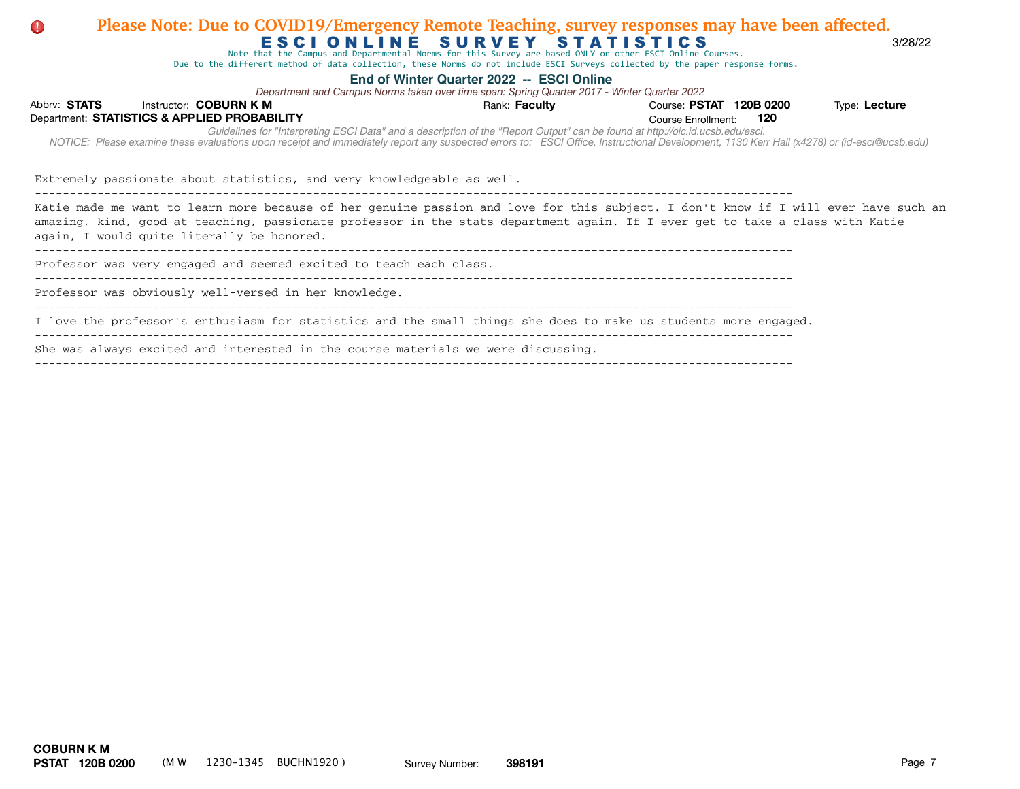#### E S C I O N L I N E S U R V E Y S T A T I S T I C S 3/28/22 **Please Note: Due to COVID19/Emergency Remote Teaching, survey responses may have been affected. n** Please  $\mathsf F \subseteq \mathsf F \subseteq \mathsf F \subseteq \mathsf F \subseteq \mathsf F \subseteq \mathsf F \subseteq \mathsf F \subseteq \mathsf F \subseteq \mathsf F \subseteq \mathsf F \subseteq \mathsf F \subseteq \mathsf F \subseteq \mathsf F \subseteq \mathsf F \subseteq \mathsf F \subseteq \mathsf F \subseteq \mathsf F \subseteq \mathsf F \subseteq \mathsf F \subseteq \mathsf F \subseteq \mathsf F \subseteq \mathsf F \subseteq \mathsf F \subseteq \mathsf F \subseteq \mathsf F \subseteq \mathsf F \subseteq \mathsf F \subseteq \mathsf F \subseteq \mathsf F \subseteq \mathsf F \subseteq \mathsf F \subseteq \mathsf F \subseteq \mathsf F \subseteq \mathsf F \subseteq \mathsf F \subseteq \mathsf F \subseteq \mathsf F$

Note that the Campus and Departmental Norms for this Survey are based ONLY on other ESCI Online Courses.

Due to the different method of data collection, these Norms do not include ESCI Surveys collected by the paper response forms.

### **End of Winter Quarter 2022 -- ESCI Online** content of the material content content content content of the material

|                                              |                               |                                                       | Department and Campus Norms taken over time span: Spring Quarter 2017 - Winter Quarter 2022                                   |               |                         |     |                                                                                                                                                                                            |
|----------------------------------------------|-------------------------------|-------------------------------------------------------|-------------------------------------------------------------------------------------------------------------------------------|---------------|-------------------------|-----|--------------------------------------------------------------------------------------------------------------------------------------------------------------------------------------------|
| Abbrv: STATS                                 | Instructor: <b>COBURN K M</b> |                                                       |                                                                                                                               | Rank: Faculty | Course: PSTAT 120B 0200 |     | Type: Lecture                                                                                                                                                                              |
| Department: STATISTICS & APPLIED PROBABILITY |                               |                                                       |                                                                                                                               |               | Course Enrollment:      | 120 |                                                                                                                                                                                            |
|                                              |                               |                                                       | Guidelines for "Interpreting ESCI Data" and a description of the "Report Output" can be found at http://oic.id.ucsb.edu/esci. |               |                         |     | NOTICE: Please examine these evaluations upon receipt and immediately report any suspected errors to: ESCI Office, Instructional Development, 1130 Kerr Hall (x4278) or (id-esci@ucsb.edu) |
|                                              |                               |                                                       | Extremely passionate about statistics, and very knowledgeable as well.                                                        |               |                         |     |                                                                                                                                                                                            |
| again, I would quite literally be honored.   |                               |                                                       | amazing, kind, good-at-teaching, passionate professor in the stats department again. If I ever get to take a class with Katie |               |                         |     | Katie made me want to learn more because of her genuine passion and love for this subject. I don't know if I will ever have such an                                                        |
|                                              |                               |                                                       | Professor was very engaged and seemed excited to teach each class.                                                            |               |                         |     |                                                                                                                                                                                            |
|                                              |                               | Professor was obviously well-versed in her knowledge. |                                                                                                                               |               |                         |     |                                                                                                                                                                                            |
|                                              |                               |                                                       | I love the professor's enthusiasm for statistics and the small things she does to make us students more engaged.              |               |                         |     |                                                                                                                                                                                            |
|                                              |                               |                                                       | She was always excited and interested in the course materials we were discussing.                                             |               |                         |     |                                                                                                                                                                                            |
|                                              |                               |                                                       |                                                                                                                               |               |                         |     |                                                                                                                                                                                            |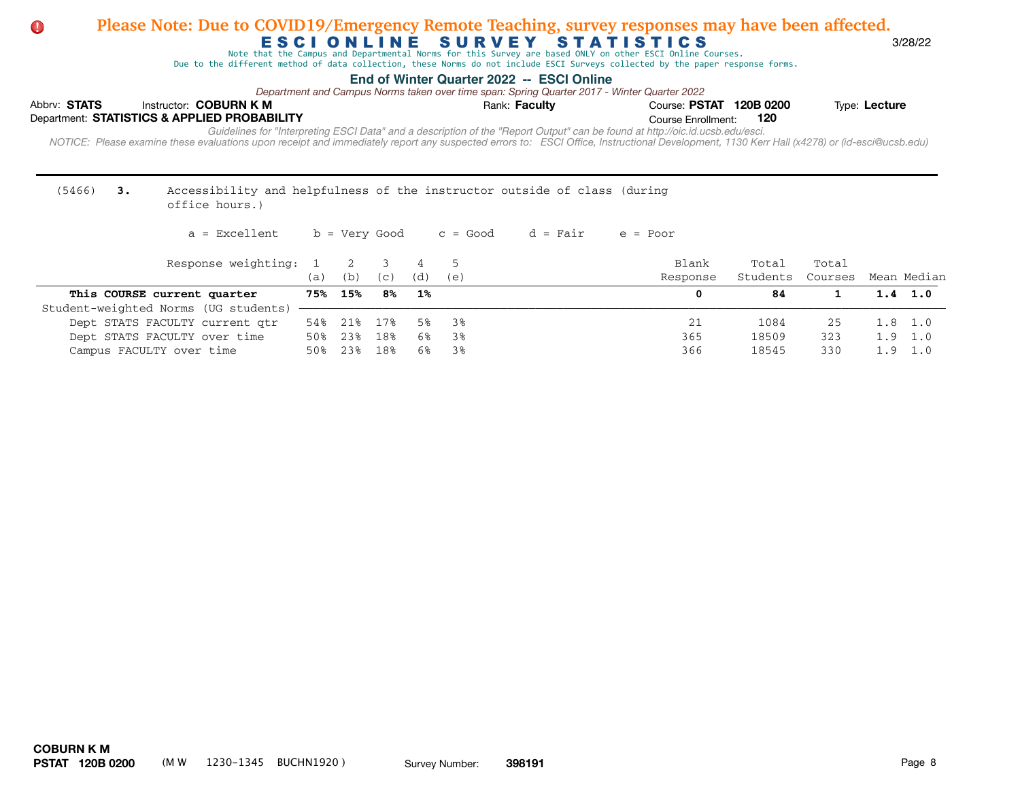Note that the Campus and Departmental Norms for this Survey are based ONLY on other ESCI Online Courses.

Due to the different method of data collection, these Norms do not include ESCI Surveys collected by the paper response forms.

## **End of Winter Quarter 2022 -- ESCI Online**

|              |                                              |                        | population and bumpub remote anon orbit anno opain. Opinig additor Lotter remote addition Lotter                                                                                                                                                                                                                            |                      |                         |     |               |
|--------------|----------------------------------------------|------------------------|-----------------------------------------------------------------------------------------------------------------------------------------------------------------------------------------------------------------------------------------------------------------------------------------------------------------------------|----------------------|-------------------------|-----|---------------|
| Abbrv: STATS |                                              | Instructor: COBURN K M |                                                                                                                                                                                                                                                                                                                             | Rank: <b>Facultv</b> | Course: PSTAT 120B 0200 |     | Type: Lecture |
|              | Department: STATISTICS & APPLIED PROBABILITY |                        |                                                                                                                                                                                                                                                                                                                             |                      | Course Enrollment:      | 120 |               |
|              |                                              |                        | Guidelines for "Interpreting ESCI Data" and a description of the "Report Output" can be found at http://oic.id.ucsb.edu/esci.<br>NOTICE: Please examine these evaluations upon receipt and immediately report any suspected errors to: ESCI Office, Instructional Development, 1130 Kerr Hall (x4278) or (id-esci@ucsb.edu) |                      |                         |     |               |

| (5466)<br>Accessibility and helpfulness of the instructor outside of class (during<br>з.<br>office hours.) |     |               |     |     |          |          |            |          |         |                 |             |
|------------------------------------------------------------------------------------------------------------|-----|---------------|-----|-----|----------|----------|------------|----------|---------|-----------------|-------------|
| a = Excellent                                                                                              |     | b = Very Good |     |     | c = Good | d = Fair | $e = Poor$ |          |         |                 |             |
| Response weighting:                                                                                        |     | 2             | - 3 | 4   | -5       |          | Blank      | Total    | Total   |                 |             |
|                                                                                                            | (a) | (b)           | (C) | (d) | (e)      |          | Response   | Students | Courses |                 | Mean Median |
| This COURSE current quarter                                                                                |     | 75% 15%       | 8%  | 1%  |          |          | 0          | 84       |         | $1.4$ 1.0       |             |
| Student-weighted Norms (UG students)                                                                       |     |               |     |     |          |          |            |          |         |                 |             |
| Dept STATS FACULTY current gtr                                                                             | 54% | 21%           | 17% | 5%  | 38       |          | 21         | 1084     | 25      | $1.8 \quad 1.0$ |             |
| Dept STATS FACULTY over time                                                                               | 50% | 23%           | 18% | 6%  | 38       |          | 365        | 18509    | 323     | $1.9 \quad 1.0$ |             |
| Campus FACULTY over time                                                                                   | 50% | 23%           | 18% | 6%  | 3%       |          | 366        | 18545    | 330     | 1.9             | 1.0         |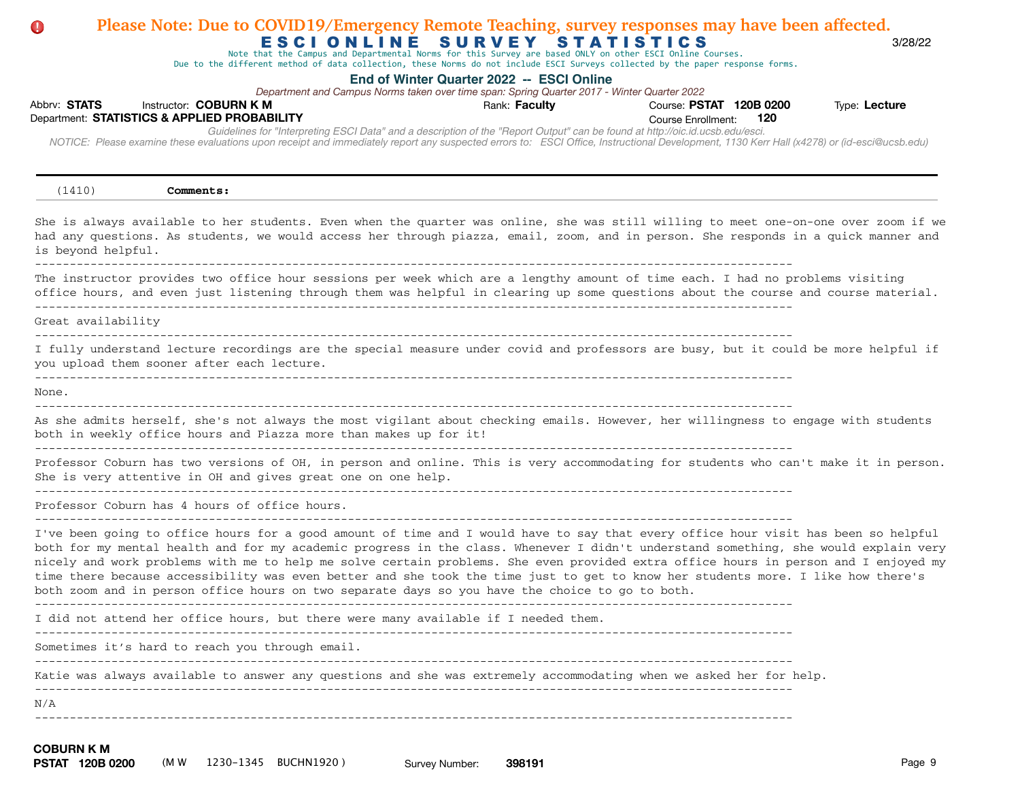# Abbrv: STATS Instructor: COBURN K M **COUR EXECUTS** Rank: Faculty **Providence: PSTAT 120B 0200** Type: Lecture Course Enrollment:  *NOTICE: Please examine these evaluations upon receipt and immediately report any suspected errors to: ESCI Office, Instructional Development, 1130 Kerr Hall (x4278) or (id-esci@ucsb.edu)*  Department: **STATISTICS & APPLIED PROBABILITY 120** E S C I O N L I N E S U R V E Y S T A T I S T I C S 3/28/22 **End of Winter Quarter 2022 -- ESCI Online** *Guidelines for "Interpreting ESCI Data" and a description of the "Report Output" can be found at http://oic.id.ucsb.edu/esci. Department and Campus Norms taken over time span: Spring Quarter 2017 - Winter Quarter 2022* Note that the Campus and Departmental Norms for this Survey are based ONLY on other ESCI Online Courses. Due to the different method of data collection, these Norms do not include ESCI Surveys collected by the paper response forms. **Please Note: Due to COVID19/Emergency Remote Teaching, survey responses may have been affected.** (1410) **Comments:** She is always available to her students. Even when the quarter was online, she was still willing to meet one-on-one over zoom if we had any questions. As students, we would access her through piazza, email, zoom, and in person. She responds in a quick manner and is beyond helpful. ------------------------------------------------------------------------------------------------------------- The instructor provides two office hour sessions per week which are a lengthy amount of time each. I had no problems visiting office hours, and even just listening through them was helpful in clearing up some questions about the course and course material.  $-$ Great availability ------------------------------------------------------------------------------------------------------------- I fully understand lecture recordings are the special measure under covid and professors are busy, but it could be more helpful if you upload them sooner after each lecture. ------------------------------------------------------------------------------------------------------------- None. ------------------------------------------------------------------------------------------------------------- As she admits herself, she's not always the most vigilant about checking emails. However, her willingness to engage with students both in weekly office hours and Piazza more than makes up for it! ------------------------------------------------------------------------------------------------------------- Professor Coburn has two versions of OH, in person and online. This is very accommodating for students who can't make it in person. She is very attentive in OH and gives great one on one help. ------------------------------------------------------------------------------------------------------------- Professor Coburn has 4 hours of office hours.  $-$ I've been going to office hours for a good amount of time and I would have to say that every office hour visit has been so helpful both for my mental health and for my academic progress in the class. Whenever I didn't understand something, she would explain very nicely and work problems with me to help me solve certain problems. She even provided extra office hours in person and I enjoyed my time there because accessibility was even better and she took the time just to get to know her students more. I like how there's both zoom and in person office hours on two separate days so you have the choice to go to both.  $-$ I did not attend her office hours, but there were many available if I needed them. ------------------------------------------------------------------------------------------------------------- Sometimes it's hard to reach you through email. ------------------------------------------------------------------------------------------------------------- Katie was always available to answer any questions and she was extremely accommodating when we asked her for help.  $-$ N/A -------------------------------------------------------------------------------------------------------------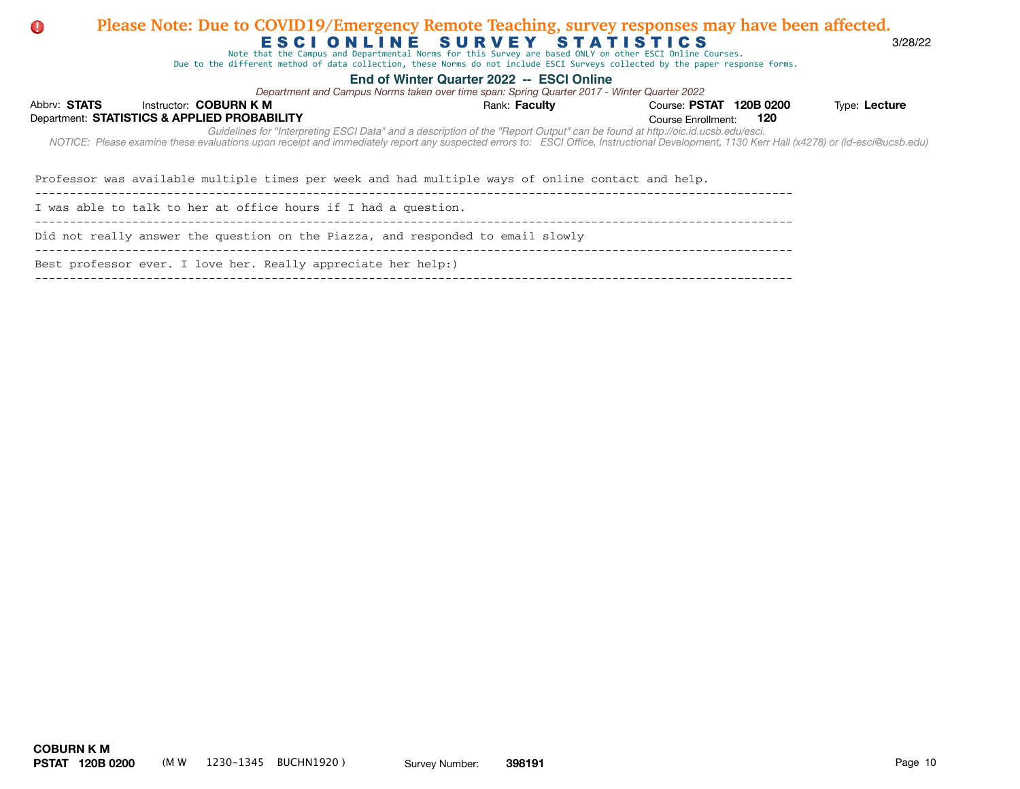#### E S C I O N L I N E S U R V E Y S T A T I S T I C S 3/28/22 **Please Note: Due to COVID19/Emergency Remote Teaching, survey responses may have been affected.**  $\bullet$  Please Note: Due to COVID19/Emergency Remote Teaching, survey responses may have been affected. both zoom and in person of the choice hours on the choice to separate the choice to both. In person of the choi

Note that the Campus and Departmental Norms for this Survey are based ONLY on other ESCI Online Courses. Note that the Campus and Departmental Norms for this Survey are based ONLY on other ESCI Online Courses.

Due to the different method of data collection, these Norms do not include ESCI Surveys collected by the paper response forms. Due to the different method of data collection, these Norms do not include ESCI Surveys (

### **End of Winter Quarter 2022 -- ESCI Online** Particle 2002 -- And the United States of Minter Quarter 2022 -- ESCI Online

| Abbrv: STATS | Instructor: COBURN K M<br>Department: STATISTICS & APPLIED PROBABILITY | Rank: <b>Faculty</b>                                                                                                                                                                                                                                                                                                        | Course: PSTAT 120B 0200<br>Course Enrollment: | 120 | Type: Lecture |
|--------------|------------------------------------------------------------------------|-----------------------------------------------------------------------------------------------------------------------------------------------------------------------------------------------------------------------------------------------------------------------------------------------------------------------------|-----------------------------------------------|-----|---------------|
|              |                                                                        | Guidelines for "Interpreting ESCI Data" and a description of the "Report Output" can be found at http://oic.id.ucsb.edu/esci.<br>NOTICE: Please examine these evaluations upon receipt and immediately report any suspected errors to: ESCI Office, Instructional Development, 1130 Kerr Hall (x4278) or (id-esci@ucsb.edu) |                                               |     |               |
|              |                                                                        | Professor was available multiple times per week and had multiple ways of online contact and help.                                                                                                                                                                                                                           |                                               |     |               |
|              |                                                                        | I was able to talk to her at office hours if I had a question.                                                                                                                                                                                                                                                              |                                               |     |               |
|              |                                                                        | Did not really answer the question on the Piazza, and responded to email slowly                                                                                                                                                                                                                                             |                                               |     |               |
|              |                                                                        | Best professor ever. I love her. Really appreciate her help:)                                                                                                                                                                                                                                                               |                                               |     |               |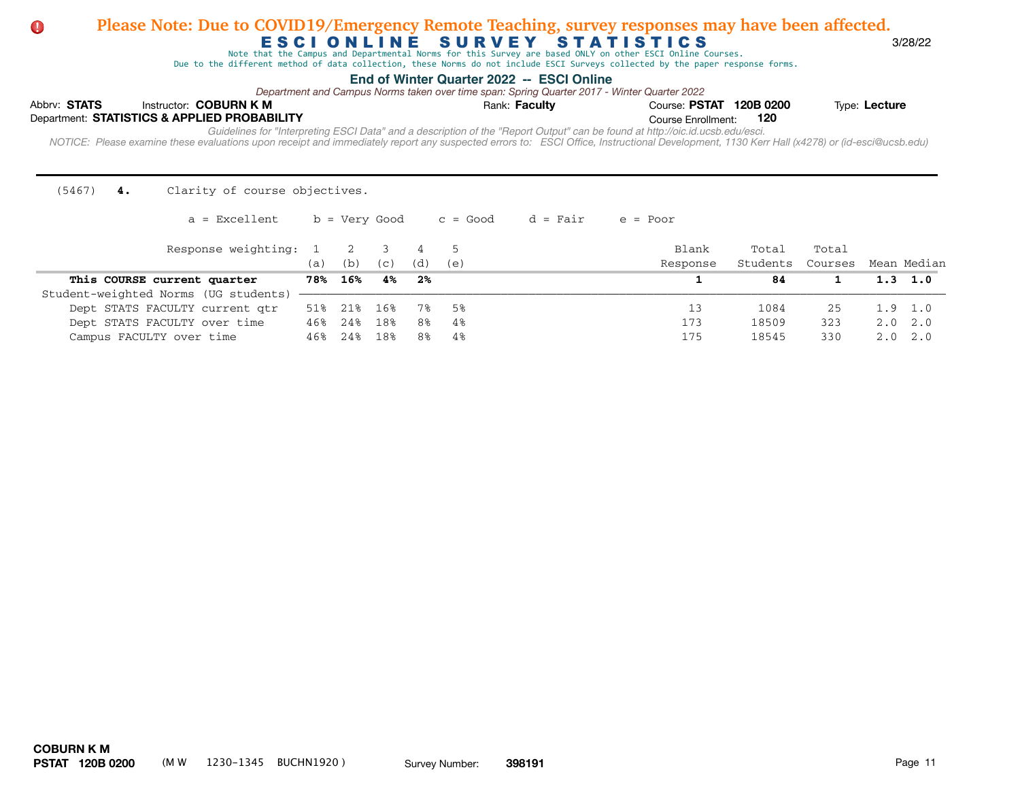Note that the Campus and Departmental Norms for this Survey are based ONLY on other ESCI Online Courses.

Due to the different method of data collection, these Norms do not include ESCI Surveys collected by the paper response forms.

## **End of Winter Quarter 2022 -- ESCI Online**

*Department and Campus Norms taken over time span: Spring Quarter 2017 - Winter Quarter 2022*

| Abbrv: STATS                                 | Instructor: COBURN K M |                                                                                                                                                                                                                                                                                                                             | Rank: <b>Faculty</b> | Course: PSTAT 120B 0200 |       | Type: Lecture |  |
|----------------------------------------------|------------------------|-----------------------------------------------------------------------------------------------------------------------------------------------------------------------------------------------------------------------------------------------------------------------------------------------------------------------------|----------------------|-------------------------|-------|---------------|--|
| Department: STATISTICS & APPLIED PROBABILITY |                        |                                                                                                                                                                                                                                                                                                                             |                      | Course Enrollment:      | - 120 |               |  |
|                                              |                        | Guidelines for "Interpreting ESCI Data" and a description of the "Report Output" can be found at http://oic.id.ucsb.edu/esci.<br>NOTICE: Please examine these evaluations upon receipt and immediately report any suspected errors to: ESCI Office, Instructional Development, 1130 Kerr Hall (x4278) or (id-esci@ucsb.edu) |                      |                         |       |               |  |

(5467) **4.** Clarity of course objectives.

| Response weighting: 1 2              | (a) | (b) | (C) | (d) | (e) | Blank<br>Response | Total<br>Students | Total<br>Courses | Mean Median     |
|--------------------------------------|-----|-----|-----|-----|-----|-------------------|-------------------|------------------|-----------------|
| This COURSE current quarter          | 78% | 16% | 4%  | 2%  |     |                   | 84                |                  | $1.3 \quad 1.0$ |
| Student-weighted Norms (UG students) |     |     |     |     |     |                   |                   |                  |                 |
| Dept STATS FACULTY current gtr       | 51% | 21% | 16% | 7%  | -5% | 13                | 1084              | 25               | $1.9 \quad 1.0$ |
| Dept STATS FACULTY over time         | 46% | 24% | 18% | 8%  | 4%  | 173               | 18509             | 323              | $2.0 \quad 2.0$ |
| Campus FACULTY over time             | 46% | 24% | 18% | 8%  | 4%  | 175               | 18545             | 330              | $2.0 \quad 2.0$ |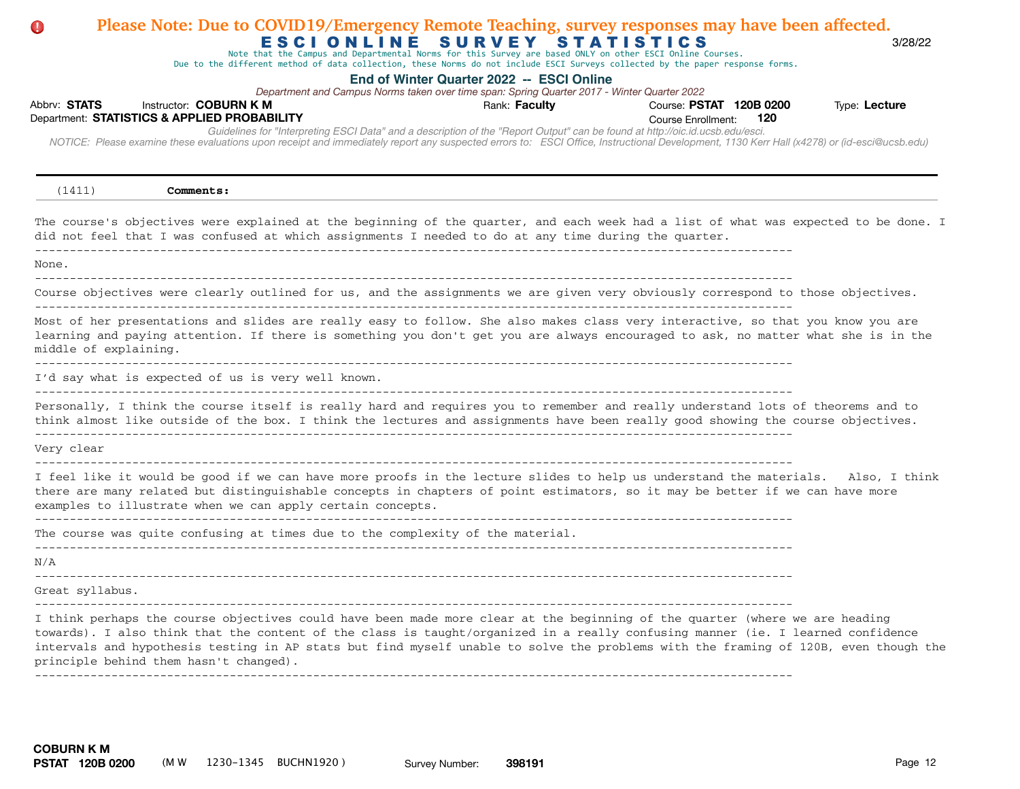# Abbrv: STATS Instructor: COBURN K M **COUR EXECUTS** Rank: Faculty **Providence: PSTAT 120B 0200** Type: Lecture Course Enrollment:  *NOTICE: Please examine these evaluations upon receipt and immediately report any suspected errors to: ESCI Office, Instructional Development, 1130 Kerr Hall (x4278) or (id-esci@ucsb.edu)*  Department: **STATISTICS & APPLIED PROBABILITY 120** E S C I O N L I N E S U R V E Y S T A T I S T I C S 3/28/22 **End of Winter Quarter 2022 -- ESCI Online** *Guidelines for "Interpreting ESCI Data" and a description of the "Report Output" can be found at http://oic.id.ucsb.edu/esci. Department and Campus Norms taken over time span: Spring Quarter 2017 - Winter Quarter 2022* Note that the Campus and Departmental Norms for this Survey are based ONLY on other ESCI Online Courses. Due to the different method of data collection, these Norms do not include ESCI Surveys collected by the paper response forms. **Please Note: Due to COVID19/Emergency Remote Teaching, survey responses may have been affected.** (1411) **Comments:** The course's objectives were explained at the beginning of the quarter, and each week had a list of what was expected to be done. I did not feel that I was confused at which assignments I needed to do at any time during the quarter. ------------------------------------------------------------------------------------------------------------- None. ------------------------------------------------------------------------------------------------------------- Course objectives were clearly outlined for us, and the assignments we are given very obviously correspond to those objectives. ------------------------------------------------------------------------------------------------------------- Most of her presentations and slides are really easy to follow. She also makes class very interactive, so that you know you are learning and paying attention. If there is something you don't get you are always encouraged to ask, no matter what she is in the middle of explaining. ------------------------------------------------------------------------------------------------------------- I'd say what is expected of us is very well known. ------------------------------------------------------------------------------------------------------------- Personally, I think the course itself is really hard and requires you to remember and really understand lots of theorems and to think almost like outside of the box. I think the lectures and assignments have been really good showing the course objectives.  $-$ Very clear ------------------------------------------------------------------------------------------------------------- I feel like it would be good if we can have more proofs in the lecture slides to help us understand the materials. Also, I think there are many related but distinguishable concepts in chapters of point estimators, so it may be better if we can have more examples to illustrate when we can apply certain concepts. ------------------------------------------------------------------------------------------------------------- The course was quite confusing at times due to the complexity of the material. ------------------------------------------------------------------------------------------------------------- N/A ------------------------------------------------------------------------------------------------------------- Great syllabus.  $-$ I think perhaps the course objectives could have been made more clear at the beginning of the quarter (where we are heading towards). I also think that the content of the class is taught/organized in a really confusing manner (ie. I learned confidence intervals and hypothesis testing in AP stats but find myself unable to solve the problems with the framing of 120B, even though the principle behind them hasn't changed). -------------------------------------------------------------------------------------------------------------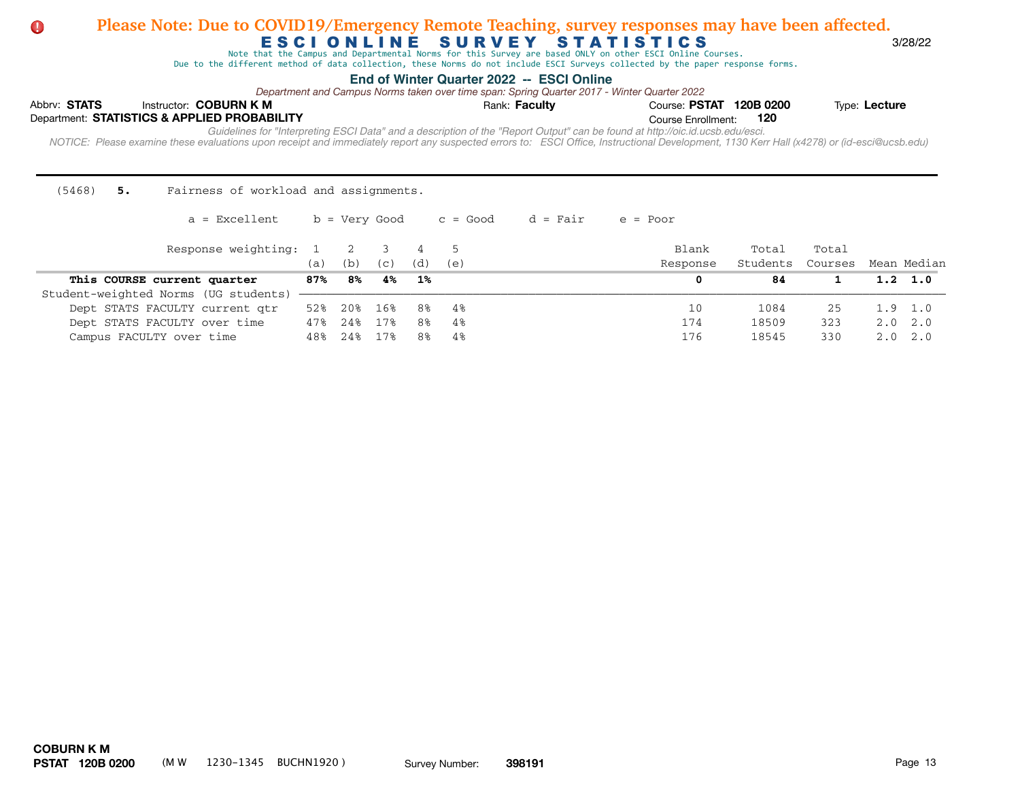Note that the Campus and Departmental Norms for this Survey are based ONLY on other ESCI Online Courses.

Due to the different method of data collection, these Norms do not include ESCI Surveys collected by the paper response forms.

## **End of Winter Quarter 2022 -- ESCI Online**

*Department and Campus Norms taken over time span: Spring Quarter 2017 - Winter Quarter 2022*

| Abbrv: STATS                                 | Instructor: COBURN K M |                                                                                                                                                                                                                                                                                                                             | Rank: <b>Faculty</b> | Course: PSTAT 120B 0200 |       | Type: Lecture |  |
|----------------------------------------------|------------------------|-----------------------------------------------------------------------------------------------------------------------------------------------------------------------------------------------------------------------------------------------------------------------------------------------------------------------------|----------------------|-------------------------|-------|---------------|--|
| Department: STATISTICS & APPLIED PROBABILITY |                        |                                                                                                                                                                                                                                                                                                                             |                      | Course Enrollment:      | - 120 |               |  |
|                                              |                        | Guidelines for "Interpreting ESCI Data" and a description of the "Report Output" can be found at http://oic.id.ucsb.edu/esci.<br>NOTICE: Please examine these evaluations upon receipt and immediately report any suspected errors to: ESCI Office, Instructional Development, 1130 Kerr Hall (x4278) or (id-esci@ucsb.edu) |                      |                         |       |               |  |

#### (5468) **5.** Fairness of workload and assignments.

| Response weighting: 1 2              |     |     |     |     |     | Blank    | Total    | Total   |                 |
|--------------------------------------|-----|-----|-----|-----|-----|----------|----------|---------|-----------------|
|                                      | (a) | (b) | (C) | (d) | (e) | Response | Students | Courses | Mean Median     |
| This COURSE current quarter          | 87% | 8%  | 4%  | 1%  |     |          | 84       |         | $1.2 \quad 1.0$ |
| Student-weighted Norms (UG students) |     |     |     |     |     |          |          |         |                 |
| Dept STATS FACULTY current qtr       | 52% | 20% | 16% | 8%  | -4% | 10       | 1084     | 25      | $1.9 \quad 1.0$ |
| Dept STATS FACULTY over time         | 47% | 24% | 17% | 8%  | 4%  | 174      | 18509    | 323     | $2.0 \quad 2.0$ |
| Campus FACULTY over time             | 48% | 24% | 17% | 8%  | 4%  | 176      | 18545    | 330     | $2.0 \quad 2.0$ |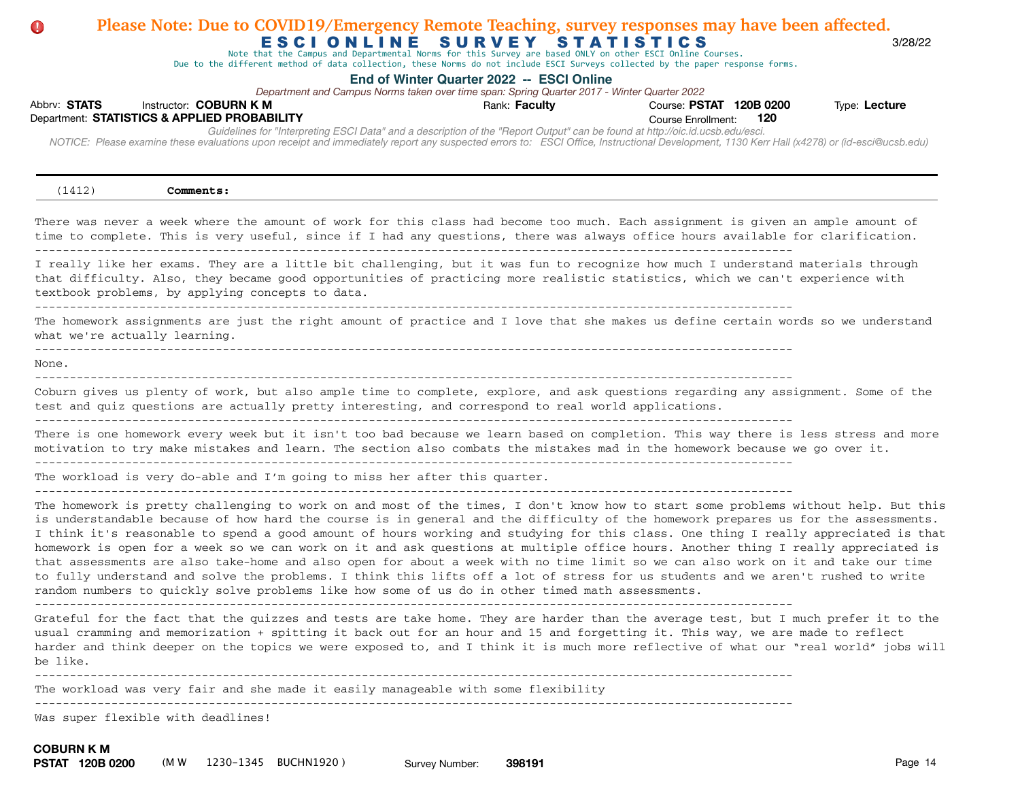# Abbrv: STATS Instructor: COBURN K M **COUR EXECUTS** Rank: Faculty **Providence: PSTAT 120B 0200** Type: Lecture Course Enrollment:  *NOTICE: Please examine these evaluations upon receipt and immediately report any suspected errors to: ESCI Office, Instructional Development, 1130 Kerr Hall (x4278) or (id-esci@ucsb.edu)*  Department: **STATISTICS & APPLIED PROBABILITY 120** E S C I O N L I N E S U R V E Y S T A T I S T I C S 3/28/22 **End of Winter Quarter 2022 -- ESCI Online** *Guidelines for "Interpreting ESCI Data" and a description of the "Report Output" can be found at http://oic.id.ucsb.edu/esci. Department and Campus Norms taken over time span: Spring Quarter 2017 - Winter Quarter 2022* Note that the Campus and Departmental Norms for this Survey are based ONLY on other ESCI Online Courses. Due to the different method of data collection, these Norms do not include ESCI Surveys collected by the paper response forms. **Please Note: Due to COVID19/Emergency Remote Teaching, survey responses may have been affected.** (1412) **Comments:** There was never a week where the amount of work for this class had become too much. Each assignment is given an ample amount of time to complete. This is very useful, since if I had any questions, there was always office hours available for clarification. ------------------------------------------------------------------------------------------------------------- I really like her exams. They are a little bit challenging, but it was fun to recognize how much I understand materials through that difficulty. Also, they became good opportunities of practicing more realistic statistics, which we can't experience with textbook problems, by applying concepts to data. ------------------------------------------------------------------------------------------------------------- The homework assignments are just the right amount of practice and I love that she makes us define certain words so we understand what we're actually learning.  $-$ None. ------------------------------------------------------------------------------------------------------------- Coburn gives us plenty of work, but also ample time to complete, explore, and ask questions regarding any assignment. Some of the test and quiz questions are actually pretty interesting, and correspond to real world applications. There is one homework every week but it isn't too bad because we learn based on completion. This way there is less stress and more motivation to try make mistakes and learn. The section also combats the mistakes mad in the homework because we go over it. ------------------------------------------------------------------------------------------------------------- The workload is very do-able and I'm going to miss her after this quarter. ------------------------------------------------------------------------------------------------------------- The homework is pretty challenging to work on and most of the times, I don't know how to start some problems without help. But this is understandable because of how hard the course is in general and the difficulty of the homework prepares us for the assessments. I think it's reasonable to spend a good amount of hours working and studying for this class. One thing I really appreciated is that homework is open for a week so we can work on it and ask questions at multiple office hours. Another thing I really appreciated is that assessments are also take-home and also open for about a week with no time limit so we can also work on it and take our time to fully understand and solve the problems. I think this lifts off a lot of stress for us students and we aren't rushed to write random numbers to quickly solve problems like how some of us do in other timed math assessments.  $-$ Grateful for the fact that the quizzes and tests are take home. They are harder than the average test, but I much prefer it to the usual cramming and memorization + spitting it back out for an hour and 15 and forgetting it. This way, we are made to reflect harder and think deeper on the topics we were exposed to, and I think it is much more reflective of what our "real world" jobs will be like. The workload was very fair and she made it easily manageable with some flexibility ------------------------------------------------------------------------------------------------------------- Was super flexible with deadlines!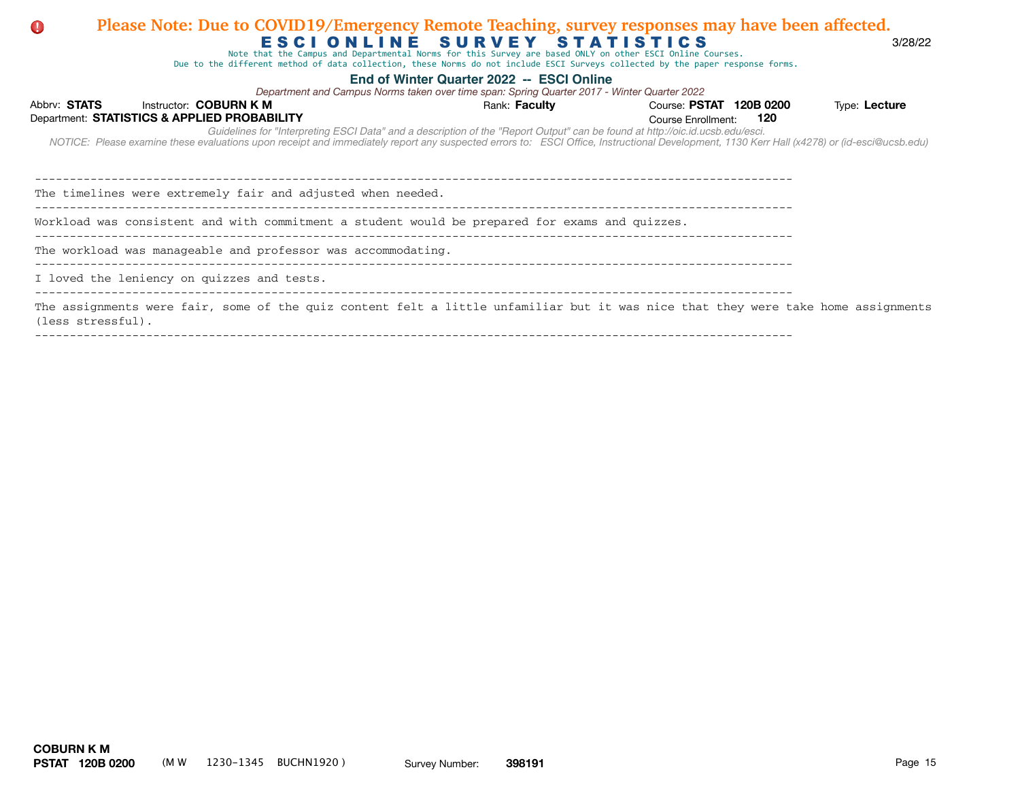#### E S C I O N L I N E S U R V E Y S T A T I S T I C S 3/28/22 **Please Note: Due to COVID19/Emergency Remote Teaching, survey responses may have been affected.**  $\Omega$  end solverstand and solve the problem in this location is stress for the problem are been affected. random numbers to quickly solve problems like how some of us do in other timed math assessments.

Note that the Campus and Departmental Norms for this Survey are based ONLY on other ESCI Online Courses. Note that the Campus and Departmental Norms for this Survey are based ONLY on other ESCI Online Courses.

Due to the different method of data collection, these Norms do not include ESCI Surveys collected by the paper response forms. Due to the different method of data collection, these Norms do not include ESCI Surveys collected by the paper response forms.

### **End of Winter Quarter 2022 -- ESCI Online** it back out for an interval cramming it back out for an interval in th

| Department and Campus Norms taken over time span: Spring Quarter 2017 - Winter Quarter 2022                                                                                                |                                                                                                                                                                                                                                        |  |  |  |  |  |  |  |  |  |
|--------------------------------------------------------------------------------------------------------------------------------------------------------------------------------------------|----------------------------------------------------------------------------------------------------------------------------------------------------------------------------------------------------------------------------------------|--|--|--|--|--|--|--|--|--|
| Course: PSTAT 120B 0200                                                                                                                                                                    | Type: Lecture                                                                                                                                                                                                                          |  |  |  |  |  |  |  |  |  |
| Course Enrollment:                                                                                                                                                                         |                                                                                                                                                                                                                                        |  |  |  |  |  |  |  |  |  |
| NOTICE: Please examine these evaluations upon receipt and immediately report any suspected errors to: ESCI Office, Instructional Development, 1130 Kerr Hall (x4278) or (id-esci@ucsb.edu) |                                                                                                                                                                                                                                        |  |  |  |  |  |  |  |  |  |
|                                                                                                                                                                                            |                                                                                                                                                                                                                                        |  |  |  |  |  |  |  |  |  |
|                                                                                                                                                                                            |                                                                                                                                                                                                                                        |  |  |  |  |  |  |  |  |  |
|                                                                                                                                                                                            |                                                                                                                                                                                                                                        |  |  |  |  |  |  |  |  |  |
|                                                                                                                                                                                            |                                                                                                                                                                                                                                        |  |  |  |  |  |  |  |  |  |
| The assignments were fair, some of the quiz content felt a little unfamiliar but it was nice that they were take home assignments                                                          |                                                                                                                                                                                                                                        |  |  |  |  |  |  |  |  |  |
|                                                                                                                                                                                            | 120<br>Guidelines for "Interpreting ESCI Data" and a description of the "Report Output" can be found at http://oic.id.ucsb.edu/esci.<br>Workload was consistent and with commitment a student would be prepared for exams and quizzes. |  |  |  |  |  |  |  |  |  |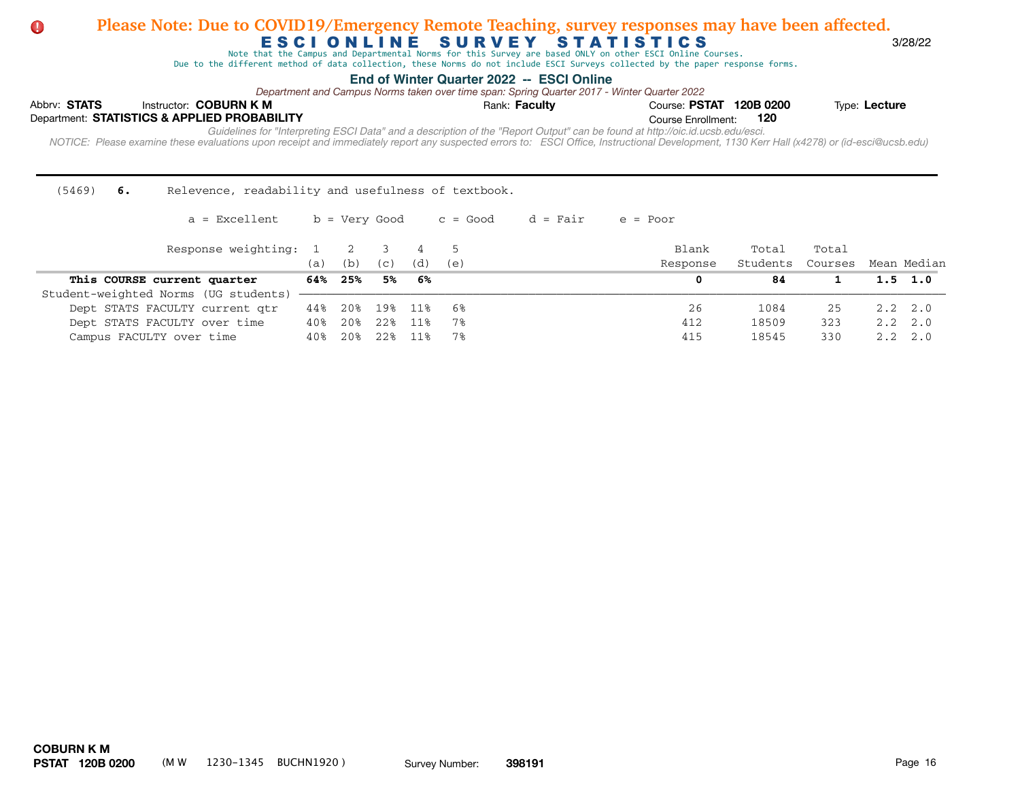Note that the Campus and Departmental Norms for this Survey are based ONLY on other ESCI Online Courses.

Due to the different method of data collection, these Norms do not include ESCI Surveys collected by the paper response forms.

## **End of Winter Quarter 2022 -- ESCI Online**

*Department and Campus Norms taken over time span: Spring Quarter 2017 - Winter Quarter 2022*

| Abbrv: STATS | Instructor: COBURN K M                       | Rank: <b>Faculty</b>                                                                                                                                                                       | Course: PSTAT 120B 0200 |       | Type: Lecture |
|--------------|----------------------------------------------|--------------------------------------------------------------------------------------------------------------------------------------------------------------------------------------------|-------------------------|-------|---------------|
|              | Department: STATISTICS & APPLIED PROBABILITY |                                                                                                                                                                                            | Course Enrollment:      | - 120 |               |
|              |                                              | Guidelines for "Interpreting ESCI Data" and a description of the "Report Output" can be found at http://oic.id.ucsb.edu/esci.                                                              |                         |       |               |
|              |                                              | NOTICE: Please examine these evaluations upon receipt and immediately report any suspected errors to: ESCI Office, Instructional Development, 1130 Kerr Hall (x4278) or (id-esci@ucsb.edu) |                         |       |               |

| $(5469)$ 6. |  |  | Relevence, readability and usefulness of textbook. |  |  |  |  |
|-------------|--|--|----------------------------------------------------|--|--|--|--|
|-------------|--|--|----------------------------------------------------|--|--|--|--|

| Response weighting: 1                | a)  | (b) | (C) | (d)  | (e)  | Blank<br>Response | Total<br>Students | Total<br>Courses | Mean Median     |
|--------------------------------------|-----|-----|-----|------|------|-------------------|-------------------|------------------|-----------------|
| This COURSE current quarter          | 64% | 25% | 5%  | େ 6% |      | 0                 | 84.               |                  | $1.5 \quad 1.0$ |
| Student-weighted Norms (UG students) |     |     |     |      |      |                   |                   |                  |                 |
| Dept STATS FACULTY current gtr       | 44% | 20% | 19% | 11%  | - 6% | 26                | 1084              | 25               | $2.2 \quad 2.0$ |
| Dept STATS FACULTY over time         | 40% | 20% | 22% | 11%  | 7%   | 412               | 18509             | 323              | $2.2 \quad 2.0$ |
| Campus FACULTY over time             | 40% | 20% | 22% | 11%  | 7%   | 415               | 18545             | 330              | $2.2 \quad 2.0$ |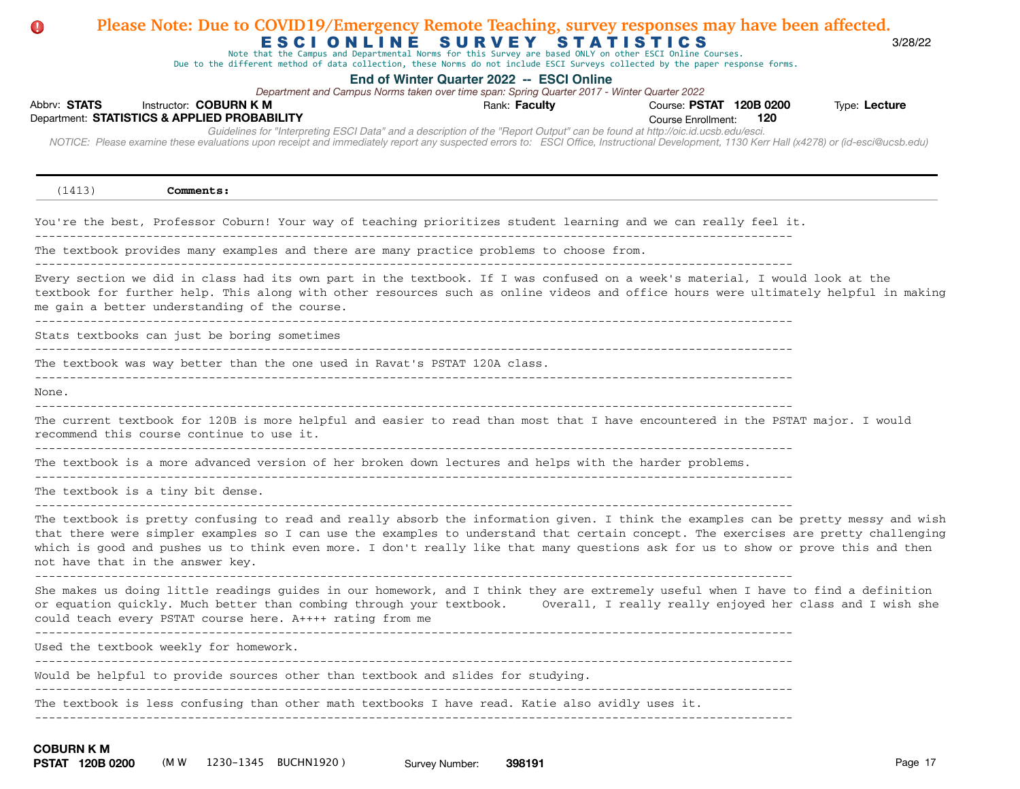# Abbrv: STATS Instructor: COBURN K M **COUR EXECUTS** Rank: Faculty **Providence: PSTAT 120B 0200** Type: Lecture Course Enrollment:  *NOTICE: Please examine these evaluations upon receipt and immediately report any suspected errors to: ESCI Office, Instructional Development, 1130 Kerr Hall (x4278) or (id-esci@ucsb.edu)*  Department: **STATISTICS & APPLIED PROBABILITY 120** E S C I O N L I N E S U R V E Y S T A T I S T I C S 3/28/22 **End of Winter Quarter 2022 -- ESCI Online** *Guidelines for "Interpreting ESCI Data" and a description of the "Report Output" can be found at http://oic.id.ucsb.edu/esci. Department and Campus Norms taken over time span: Spring Quarter 2017 - Winter Quarter 2022* Note that the Campus and Departmental Norms for this Survey are based ONLY on other ESCI Online Courses. Due to the different method of data collection, these Norms do not include ESCI Surveys collected by the paper response forms. **Please Note: Due to COVID19/Emergency Remote Teaching, survey responses may have been affected.** (1413) **Comments:** You're the best, Professor Coburn! Your way of teaching prioritizes student learning and we can really feel it. ------------------------------------------------------------------------------------------------------------- The textbook provides many examples and there are many practice problems to choose from. ------------------------------------------------------------------------------------------------------------- Every section we did in class had its own part in the textbook. If I was confused on a week's material, I would look at the textbook for further help. This along with other resources such as online videos and office hours were ultimately helpful in making me gain a better understanding of the course. ------------------------------------------------------------------------------------------------------------- Stats textbooks can just be boring sometimes ------------------------------------------------------------------------------------------------------------- The textbook was way better than the one used in Ravat's PSTAT 120A class. ------------------------------------------------------------------------------------------------------------- None. ------------------------------------------------------------------------------------------------------------- The current textbook for 120B is more helpful and easier to read than most that I have encountered in the PSTAT major. I would recommend this course continue to use it. ------------------------------------------------------------------------------------------------------------- The textbook is a more advanced version of her broken down lectures and helps with the harder problems. ------------------------------------------------------------------------------------------------------------- The textbook is a tiny bit dense. ------------------------------------------------------------------------------------------------------------- The textbook is pretty confusing to read and really absorb the information given. I think the examples can be pretty messy and wish that there were simpler examples so I can use the examples to understand that certain concept. The exercises are pretty challenging which is good and pushes us to think even more. I don't really like that many questions ask for us to show or prove this and then not have that in the answer key. ------------------------------------------------------------------------------------------------------------- She makes us doing little readings guides in our homework, and I think they are extremely useful when I have to find a definition or equation quickly. Much better than combing through your textbook. Overall, I really really enjoyed her class and I wish she could teach every PSTAT course here. A++++ rating from me ------------------------------------------------------------------------------------------------------------- Used the textbook weekly for homework. ------------------------------------------------------------------------------------------------------------- Would be helpful to provide sources other than textbook and slides for studying. ------------------------------------------------------------------------------------------------------------- The textbook is less confusing than other math textbooks I have read. Katie also avidly uses it.

#### ------------------------------------------------------------------------------------------------------------- **COBURN K M**